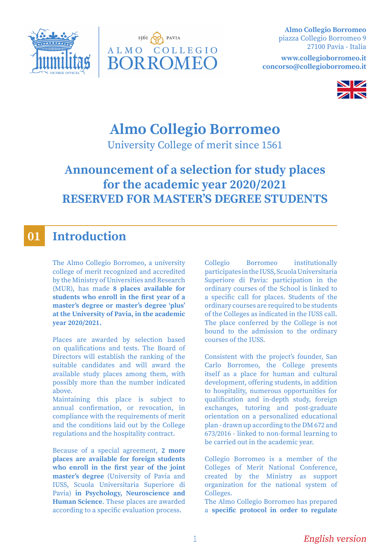



**Almo Collegio Borromeo** piazza Collegio Borromeo 9 27100 Pavia - Italia

**www.collegioborromeo.it concorso@collegioborromeo.it**



# **Almo Collegio Borromeo**

University College of merit since 1561

# **Announcement of a selection for study places for the academic year 2020/2021 RESERVED FOR MASTER'S DEGREE STUDENTS**

### **Introduction 01**

The Almo Collegio Borromeo, a university college of merit recognized and accredited by the Ministry of Universities and Research (MUR), has made **8 places available for students who enroll in the first year of a master's degree or master's degree 'plus' at the University of Pavia, in the academic year 2020/2021.**

Places are awarded by selection based on qualifications and tests. The Board of Directors will establish the ranking of the suitable candidates and will award the available study places among them, with possibly more than the number indicated above.

Maintaining this place is subject to annual confirmation, or revocation, in compliance with the requirements of merit and the conditions laid out by the College regulations and the hospitality contract.

Because of a special agreement, **2 more places are available for foreign students who enroll in the first year of the joint master's degree** (University of Pavia and IUSS, Scuola Universitaria Superiore di Pavia) **in Psychology, Neuroscience and Human Science**. These places are awarded according to a specific evaluation process.

Collegio Borromeo institutionally participates in the IUSS, Scuola Universitaria Superiore di Pavia: participation in the ordinary courses of the School is linked to a specific call for places. Students of the ordinary courses are required to be students of the Colleges as indicated in the IUSS call. The place conferred by the College is not bound to the admission to the ordinary courses of the IUSS.

Consistent with the project's founder, San Carlo Borromeo, the College presents itself as a place for human and cultural development, offering students, in addition to hospitality, numerous opportunities for qualification and in-depth study, foreign exchanges, tutoring and post-graduate orientation on a personalized educational plan - drawn up according to the DM 672 and 673/2016 - linked to non-formal learning to be carried out in the academic year.

Collegio Borromeo is a member of the Colleges of Merit National Conference, created by the Ministry as support organization for the national system of Colleges.

The Almo Collegio Borromeo has prepared a **specific protocol in order to regulate**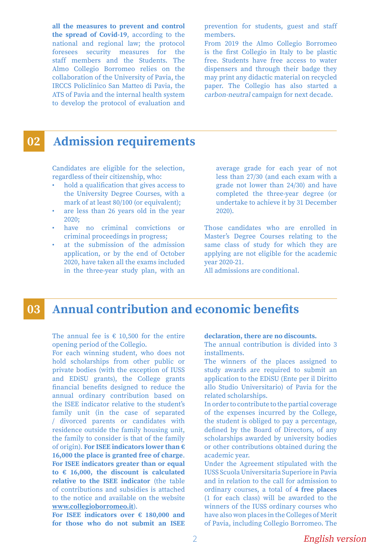**all the measures to prevent and control the spread of Covid-19**, according to the national and regional law; the protocol foresees security measures for the staff members and the Students. The Almo Collegio Borromeo relies on the collaboration of the University of Pavia, the IRCCS Policlinico San Matteo di Pavia, the ATS of Pavia and the internal health system to develop the protocol of evaluation and

prevention for students, guest and staff members.

From 2019 the Almo Collegio Borromeo is the first Collegio in Italy to be plastic free. Students have free access to water dispensers and through their badge they may print any didactic material on recycled paper. The Collegio has also started a carbon-neutral campaign for next decade.

#### **Admission requirements 02**

Candidates are eligible for the selection, regardless of their citizenship, who:

- hold a qualification that gives access to the University Degree Courses, with a mark of at least 80/100 (or equivalent);
- are less than 26 years old in the year 2020;
- have no criminal convictions or criminal proceedings in progress;
- at the submission of the admission application, or by the end of October 2020, have taken all the exams included in the three-year study plan, with an

average grade for each year of not less than 27/30 (and each exam with a grade not lower than 24/30) and have completed the three-year degree (or undertake to achieve it by 31 December 2020).

Those candidates who are enrolled in Master's Degree Courses relating to the same class of study for which they are applying are not eligible for the academic year 2020-21.

All admissions are conditional.

#### **Annual contribution and economic benefits 03**

The annual fee is  $\epsilon$  10,500 for the entire opening period of the Collegio.

For each winning student, who does not hold scholarships from other public or private bodies (with the exception of IUSS and EDiSU grants), the College grants financial benefits designed to reduce the annual ordinary contribution based on the ISEE indicator relative to the student's family unit (in the case of separated / divorced parents or candidates with residence outside the family housing unit, the family to consider is that of the family of origin). **For ISEE indicators lower than € 16,000 the place is granted free of charge**. **For ISEE indicators greater than or equal to € 16,000, the discount is calculated relative to the ISEE indicator** (the table of contributions and subsidies is attached to the notice and available on the website **www.collegioborromeo.it**).

**For ISEE indicators over € 180,000 and for those who do not submit an ISEE** 

### **declaration, there are no discounts.**

The annual contribution is divided into 3 installments.

The winners of the places assigned to study awards are required to submit an application to the EDiSU (Ente per il Diritto allo Studio Universitario) of Pavia for the related scholarships.

In order to contribute to the partial coverage of the expenses incurred by the College, the student is obliged to pay a percentage, defined by the Board of Directors, of any scholarships awarded by university bodies or other contributions obtained during the academic year.

Under the Agreement stipulated with the IUSS Scuola Universitaria Superiore in Pavia and in relation to the call for admission to ordinary courses, a total of **4 free places**  (1 for each class) will be awarded to the winners of the IUSS ordinary courses who have also won places in the Colleges of Merit of Pavia, including Collegio Borromeo. The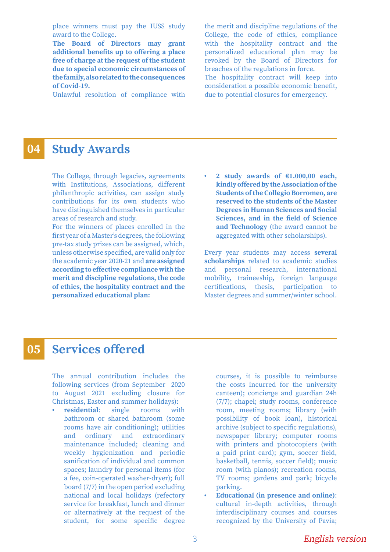place winners must pay the IUSS study award to the College.

**The Board of Directors may grant additional benefits up to offering a place free of charge at the request of the student due to special economic circumstances of the family, also related to the consequences of Covid-19.**

Unlawful resolution of compliance with

the merit and discipline regulations of the College, the code of ethics, compliance with the hospitality contract and the personalized educational plan may be revoked by the Board of Directors for breaches of the regulations in force. The hospitality contract will keep into consideration a possible economic benefit, due to potential closures for emergency.

#### **Study Awards 04**

The College, through legacies, agreements with Institutions, Associations, different philanthropic activities, can assign study contributions for its own students who have distinguished themselves in particular areas of research and study.

For the winners of places enrolled in the first year of a Master's degrees, the following pre-tax study prizes can be assigned, which, unless otherwise specified, are valid only for the academic year 2020-21 and **are assigned according to effective compliance with the merit and discipline regulations, the code of ethics, the hospitality contract and the personalized educational plan:**

**• 2 study awards of €1.000,00 each, kindly offered by the Association of the Students of the Collegio Borromeo, are reserved to the students of the Master Degrees in Human Sciences and Social Sciences, and in the field of Science and Technology** (the award cannot be aggregated with other scholarships).

Every year students may access **several scholarships** related to academic studies and personal research, international mobility, traineeship, foreign language certifications, thesis, participation to Master degrees and summer/winter school.

#### **Services offered 05**

The annual contribution includes the following services (from September 2020 to August 2021 excluding closure for Christmas, Easter and summer holidays):

**• residential**: single rooms with bathroom or shared bathroom (some rooms have air conditioning); utilities and ordinary and extraordinary maintenance included; cleaning and weekly hygienization and periodic sanification of individual and common spaces; laundry for personal items (for a fee, coin-operated washer-dryer); full board (7/7) in the open period excluding national and local holidays (refectory service for breakfast, lunch and dinner or alternatively at the request of the student, for some specific degree

courses, it is possible to reimburse the costs incurred for the university canteen); concierge and guardian 24h (7/7); chapel; study rooms, conference room, meeting rooms; library (with possibility of book loan), historical archive (subject to specific regulations), newspaper library; computer rooms with printers and photocopiers (with a paid print card); gym, soccer field, basketball, tennis, soccer field); music room (with pianos); recreation rooms, TV rooms; gardens and park; bicycle parking.

**• Educational (in presence and online)**: cultural in-depth activities, through interdisciplinary courses and courses recognized by the University of Pavia;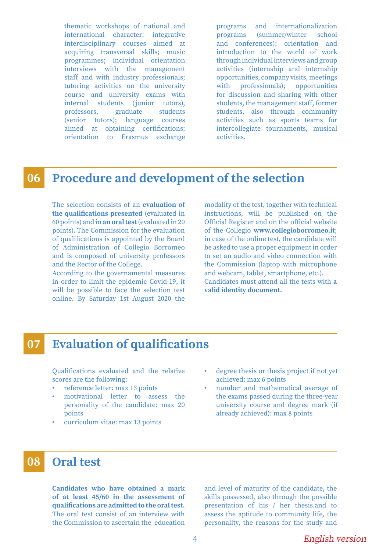thematic workshops of national and international character; integrative interdisciplinary courses aimed at acquiring transversal skills; music programmes; individual orientation interviews with the management staff and with industry professionals; tutoring activities on the university course and university exams with internal students (junior tutors), professors, graduate students (senior tutors); language courses aimed at obtaining certifications; orientation to Erasmus exchange

programs and internationalization programs (summer/winter school and conferences); orientation and introduction to the world of work through individual interviews and group activities (internship and internship opportunities, company visits, meetings with professionals); opportunities for discussion and sharing with other students, the management staff, former students, also through community activities such as sports teams for intercollegiate tournaments, musical activities.

#### **Procedure and development of the selection 06**

The selection consists of an **evaluation of the qualifications presented** (evaluated in 60 points) and in **an oral test** (evaluated in 20 points). The Commission for the evaluation of qualifications is appointed by the Board of Administration of Collegio Borromeo and is composed of university professors and the Rector of the College.

According to the governamental measures in order to limit the epidemic Covid-19, it will be possible to face the selection test online. By Saturday 1st August 2020 the

modality of the test, together with technical instructions, will be published on the Official Register and on the official website of the Collegio **www.collegioborromeo.it**; in case of the online test, the candidate will be asked to use a proper equipment in order to set an audio and video connection with the Commission (laptop with microphone and webcam, tablet, smartphone, etc.). Candidates must attend all the tests with **a valid identity document.**

#### **Evaluation of qualifications 07**

Qualifications evaluated and the relative scores are the following:

- reference letter: max 13 points
- motivational letter to assess the personality of the candidate: max 20 points
- curriculum vitae: max 13 points
- degree thesis or thesis project if not yet achieved: max 6 points
- number and mathematical average of the exams passed during the three-year university course and degree mark (if already achieved): max 8 points

#### **Oral test 08**

**Candidates who have obtained a mark of at least 45/60 in the assessment of qualifications are admitted to the oral test.** The oral test consist of an interview with the Commission to ascertain the education

and level of maturity of the candidate, the skills possessed, also through the possible presentation of his / her thesis.and to assess the aptitude to community life, the personality, the reasons for the study and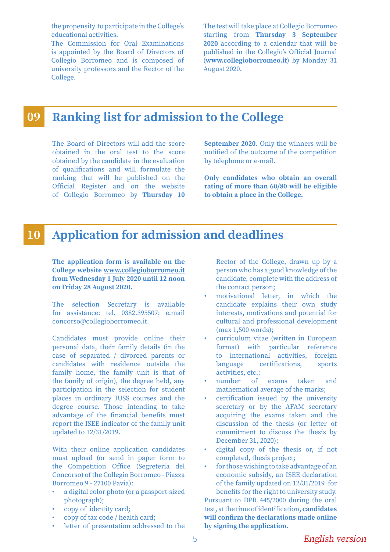the propensity to participate in the College's educational activities.

The Commission for Oral Examinations is appointed by the Board of Directors of Collegio Borromeo and is composed of university professors and the Rector of the College.

The test will take place at Collegio Borromeo starting from **Thursday 3 September 2020** according to a calendar that will be published in the Collegio's Official Journal (**www.collegioborromeo.it**) by Monday 31 August 2020.

#### **Ranking list for admission to the College 09**

The Board of Directors will add the score obtained in the oral test to the score obtained by the candidate in the evaluation of qualifications and will formulate the ranking that will be published on the Official Register and on the website of Collegio Borromeo by **Thursday 10**  **September 2020**. Only the winners will be notified of the outcome of the competition by telephone or e-mail.

**Only candidates who obtain an overall rating of more than 60/80 will be eligible to obtain a place in the College.**

#### **Application for admission and deadlines 10**

**The application form is available on the College website www.collegioborromeo.it from Wednesday 1 July 2020 until 12 noon on Friday 28 August 2020.**

The selection Secretary is available for assistance: tel. 0382.395507; e.mail concorso@collegioborromeo.it.

Candidates must provide online their personal data, their family details (in the case of separated / divorced parents or candidates with residence outside the family home, the family unit is that of the family of origin), the degree held, any participation in the selection for student places in ordinary IUSS courses and the degree course. Those intending to take advantage of the financial benefits must report the ISEE indicator of the family unit updated to 12/31/2019.

With their online application candidates must upload (or send in paper form to the Competition Office (Segreteria del Concorso) of the Collegio Borromeo - Piazza Borromeo 9 - 27100 Pavia):

- a digital color photo (or a passport-sized photograph);
- copy of identity card;
- copy of tax code / health card;
- letter of presentation addressed to the

Rector of the College, drawn up by a person who has a good knowledge of the candidate, complete with the address of the contact person;

- motivational letter, in which the candidate explains their own study interests, motivations and potential for cultural and professional development (max 1,500 words);
- curriculum vitae (written in European format) with particular reference to international activities, foreign language certifications, sports activities, etc.;
- number of exams taken and mathematical average of the marks;
- certification issued by the university secretary or by the AFAM secretary acquiring the exams taken and the discussion of the thesis (or letter of commitment to discuss the thesis by December 31, 2020);
- digital copy of the thesis or, if not completed, thesis project;
- for those wishing to take advantage of an economic subsidy, an ISEE declaration of the family updated on 12/31/2019 for benefits for the right to university study.

Pursuant to DPR 445/2000 during the oral test, at the time of identification, **candidates will confirm the declarations made online by signing the application.**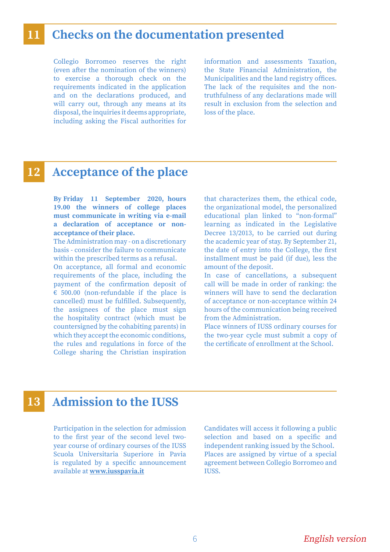### **11 Checks on the documentation presented**

Collegio Borromeo reserves the right (even after the nomination of the winners) to exercise a thorough check on the requirements indicated in the application and on the declarations produced, and will carry out, through any means at its disposal, the inquiries it deems appropriate, including asking the Fiscal authorities for information and assessments Taxation, the State Financial Administration, the Municipalities and the land registry offices. The lack of the requisites and the nontruthfulness of any declarations made will result in exclusion from the selection and loss of the place.

### **12 Acceptance of the place**

**By Friday 11 September 2020, hours 19.00 the winners of college places must communicate in writing via e-mail a declaration of acceptance or nonacceptance of their place.** 

The Administration may - on a discretionary basis - consider the failure to communicate within the prescribed terms as a refusal.

On acceptance, all formal and economic requirements of the place, including the payment of the confirmation deposit of  $\epsilon$  500.00 (non-refundable if the place is cancelled) must be fulfilled. Subsequently, the assignees of the place must sign the hospitality contract (which must be countersigned by the cohabiting parents) in which they accept the economic conditions, the rules and regulations in force of the College sharing the Christian inspiration

that characterizes them, the ethical code, the organizational model, the personalized educational plan linked to "non-formal" learning as indicated in the Legislative Decree 13/2013, to be carried out during the academic year of stay. By September 21, the date of entry into the College, the first installment must be paid (if due), less the amount of the deposit.

In case of cancellations, a subsequent call will be made in order of ranking: the winners will have to send the declaration of acceptance or non-acceptance within 24 hours of the communication being received from the Administration.

Place winners of IUSS ordinary courses for the two-year cycle must submit a copy of the certificate of enrollment at the School.

### **13 Admission to the IUSS**

Participation in the selection for admission to the first year of the second level twoyear course of ordinary courses of the IUSS Scuola Universitaria Superiore in Pavia is regulated by a specific announcement available at **www.iusspavia.it**

Candidates will access it following a public selection and based on a specific and independent ranking issued by the School. Places are assigned by virtue of a special agreement between Collegio Borromeo and **IIISS**